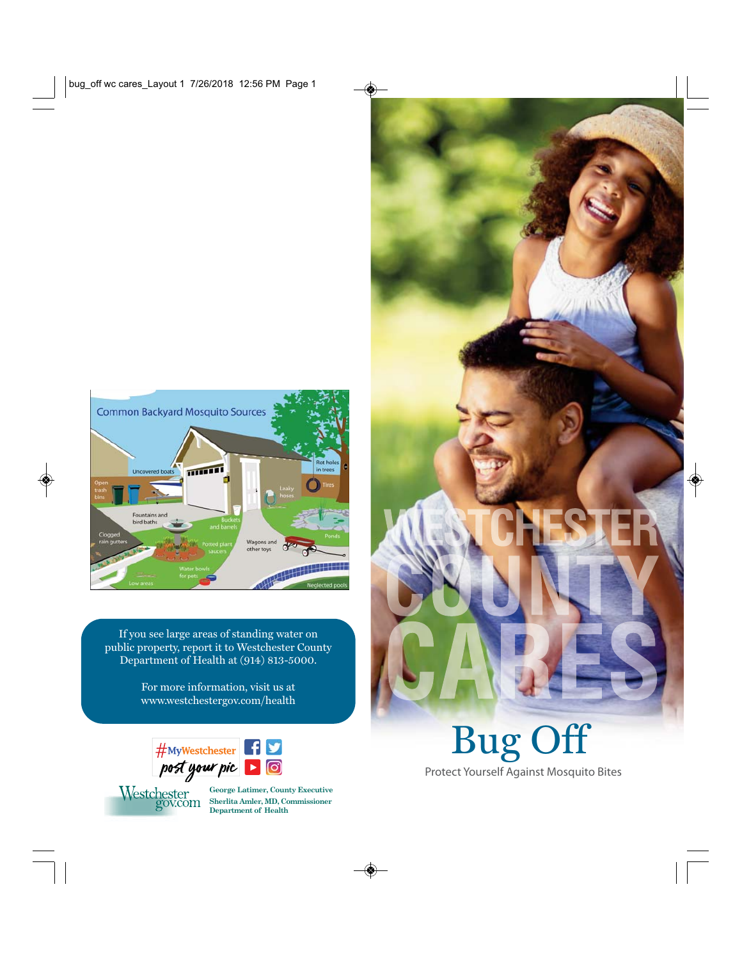

If you see large areas of standing water on public property, report it to Westchester County Department of Health at (914) 813-5000.

> For more information, visit us at www.westchestergov.com/health





**George Latimer, County Executive Department of Health Department of Health**

Bug Off Protect Yourself Against Mosquito Bites